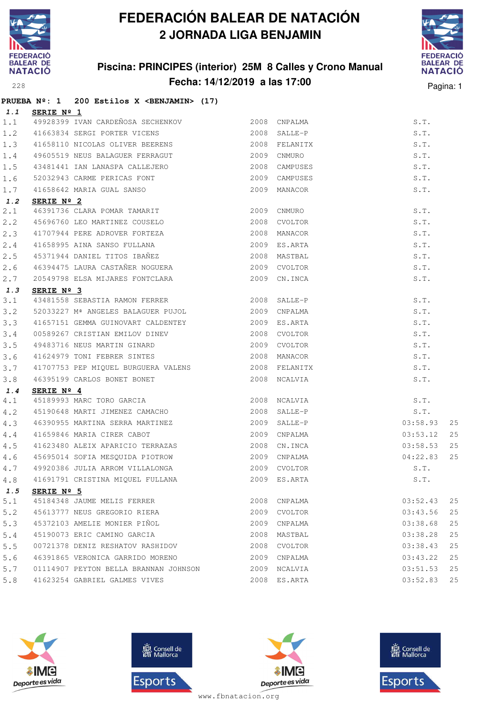

## **Piscina: PRINCIPES (interior) 25M 8 Calles y Crono Manual Fecha: 14/12/2019 a las 17:00**<sup>228</sup> Pagina: 1



|       |                     | PRUEBA Nº: 1 200 Estilos X < BENJAMIN> (17)                                                                                         |              |              |                   |    |
|-------|---------------------|-------------------------------------------------------------------------------------------------------------------------------------|--------------|--------------|-------------------|----|
| 1.1   | SERIE $N^{\circ}$ 1 |                                                                                                                                     |              |              |                   |    |
| 1.1   |                     | 49928399 IVAN CARDEÑOSA SECHENKOV 6 2008 CNPALMA                                                                                    |              |              | S.T.              |    |
| 1.2   |                     | 41663834 SERGI PORTER VICENS 2008 SALLE-P                                                                                           |              |              | S.T.              |    |
| 1.3   |                     | 41658110 NICOLAS OLIVER BEERENS 2008 FELANITX                                                                                       |              |              | S.T.              |    |
| 1.4   |                     | 49605519 NEUS BALAGUER FERRAGUT 2009 CNMURO                                                                                         |              |              | S.T.              |    |
| 1.5   |                     | 43481441 IAN LANASPA CALLEJERO 6 2008 CAMPUSES                                                                                      |              |              | S.T.              |    |
| 1.6   |                     | 52032943 CARME PERICAS FONT 2009 CAMPUSES                                                                                           |              |              | S.T.              |    |
| 1.7   |                     | 41658642 MARIA GUAL SANSO                                                                                                           |              | 2009 MANACOR | S.T.              |    |
| 1.2   | SERIE $N^{\circ}$ 2 |                                                                                                                                     |              |              |                   |    |
| 2.1   |                     | 46391736 CLARA POMAR TAMARIT 2009 CNMURO                                                                                            |              |              | S.T.              |    |
| 2.2   |                     |                                                                                                                                     |              |              | S.T.              |    |
| 2.3   |                     | 41707944 PERE ADROVER FORTEZA<br>11650005 15:11 States Times                                                                        |              |              | S.T.              |    |
| 2.4   |                     |                                                                                                                                     |              |              | S.T.              |    |
| 2.5   |                     | 41658995 AINA SANSO FULLANA (2009 ES.ARTA)<br>45371944 DANIEL TITOS IBAÑEZ (2008 MASTBAL)                                           |              |              | S.T.              |    |
| 2.6   |                     | 46394475 LAURA CASTAÑER NOGUERA 2009 CVOLTOR                                                                                        |              |              | S.T.              |    |
| 2.7   |                     | 20549798 ELSA MIJARES FONTCLARA 2009 CN.INCA                                                                                        |              |              | S.T.              |    |
| 1.3   | SERIE $N^{\circ}$ 3 |                                                                                                                                     |              |              |                   |    |
| 3.1   |                     | 43481558 SEBASTIA RAMON FERRER 2008 SALLE-P                                                                                         |              |              | S.T.              |    |
| 3.2   |                     | 52033227 Mª ANGELES BALAGUER PUJOL 2009 CNPALMA                                                                                     |              |              | S.T.              |    |
| 3.3   |                     | 41657151 GEMMA GUINOVART CALDENTEY 6000 2009 ES.ARTA                                                                                |              |              | S.T.              |    |
| 3.4   |                     | 00589267 CRISTIAN EMILOV DINEV 2008 CVOLTOR<br>49483716 NEUS MARTIN GINARD 2009 CVOLTOR<br>41624979 TONI FEBRER SINTES 2008 MANACOR |              |              | S.T.              |    |
| 3.5   |                     |                                                                                                                                     |              |              | S.T.              |    |
| 3.6   |                     |                                                                                                                                     |              |              | S.T.              |    |
| 3.7   |                     | 41707753 PEP MIQUEL BURGUERA VALENS 2008 FELANITX                                                                                   |              |              | S.T.              |    |
| 3.8   |                     | 46395199 CARLOS BONET BONET                                                                                                         | 2008 NCALVIA |              | S.T.              |    |
| 1.4   | SERIE Nº 4          |                                                                                                                                     |              |              |                   |    |
| 4.1   |                     | 45189993 MARC TORO GARCIA $\frac{2008}{45190648}$                                                                                   |              | NCALVIA      | S.T.              |    |
| 4.2   |                     | 45190648 MARTI JIMENEZ CAMACHO 2008                                                                                                 |              | SALLE-P      | S.T.              |    |
| 4.3   |                     | 46390955 MARTINA SERRA MARTINEZ 2009 SALLE-P                                                                                        |              |              | 03:58.93          | 25 |
| 4.4   |                     | 41659846 MARIA CIRER CABOT 2009 CNPALMA                                                                                             |              |              | 03:53.12          | 25 |
| 4.5   |                     | 41623480 ALEIX APARICIO TERRAZAS                                                                                                    |              | 2008 CN.INCA | 03:58.53          | 25 |
| 4.6   |                     |                                                                                                                                     |              |              | 04:22.83          | 25 |
|       |                     | 4.7 49920386 JULIA ARROM VILLALONGA                                                                                                 |              |              | 2009 CVOLTOR S.T. |    |
| 4.8   |                     | 41691791 CRISTINA MIQUEL FULLANA                                                                                                    |              | 2009 ES.ARTA | S.T.              |    |
| 1.5   | SERIE Nº 5          |                                                                                                                                     |              |              |                   |    |
| 5.1   |                     | 45184348 JAUME MELIS FERRER                                                                                                         |              | 2008 CNPALMA | 03:52.43          | 25 |
| 5.2   |                     | 45613777 NEUS GREGORIO RIERA                                                                                                        |              | 2009 CVOLTOR | 03:43.56          | 25 |
| 5.3   |                     | 45372103 AMELIE MONIER PIÑOL                                                                                                        |              | 2009 CNPALMA | 03:38.68          | 25 |
| $5.4$ |                     | 45190073 ERIC CAMINO GARCIA                                                                                                         |              | 2008 MASTBAL | 03:38.28          | 25 |
| 5.5   |                     | 00721378 DENIZ RESHATOV RASHIDOV                                                                                                    |              | 2008 CVOLTOR | 03:38.43          | 25 |
| 5.6   |                     | 46391865 VERONICA GARRIDO MORENO 2009 CNPALMA                                                                                       |              |              | 03:43.22          | 25 |
| 5.7   |                     | 01114907 PEYTON BELLA BRANNAN JOHNSON 2009 NCALVIA                                                                                  |              |              | 03:51.53          | 25 |
| 5.8   |                     | 41623254 GABRIEL GALMES VIVES                                                                                                       |              | 2008 ES.ARTA | 03:52.83          | 25 |







**感** Consell de Esports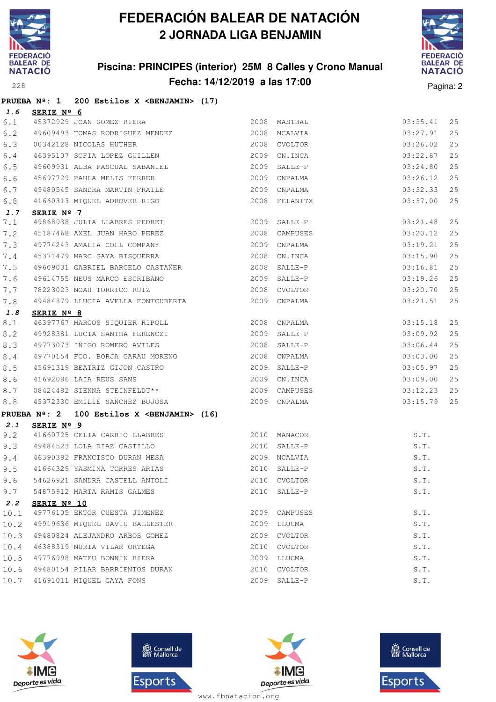

## **Piscina: PRINCIPES (interior) 25M 8 Calles y Crono Manual Fecha: 14/12/2019 a las 17:00**<sup>228</sup> Pagina: 2



|       |             | PRUEBA Nº: 1 200 Estilos X < BENJAMIN> (17)                                                                                                                                                                                   |      |               |          |    |
|-------|-------------|-------------------------------------------------------------------------------------------------------------------------------------------------------------------------------------------------------------------------------|------|---------------|----------|----|
| 1.6   | SERIE Nº 6  |                                                                                                                                                                                                                               |      |               |          |    |
| 6.1   |             | 45372929 JOAN GOMEZ RIERA                                                                                                                                                                                                     |      | 2008 MASTBAL  | 03:35.41 | 25 |
| 6.2   |             | 49609493 TOMAS RODRIGUEZ MENDEZ 2008 NCALVIA                                                                                                                                                                                  |      |               | 03:27.91 | 25 |
| 6.3   |             | EXPRESS THE MANUSCRIPT OF THE RESIDENT SOFT A REPORT OF THE RESIDENT OF THE RESIDENCE OF THE RESIDENCE OF THE RESIDENCE OF THE RESIDENCE OF THE RESIDENCE OF THE RESIDENCE OF THE RESIDENCE OF THE RESIDENCE OF THE RESIDENCE |      | CVOLTOR       | 03:26.02 | 25 |
| 6.4   |             |                                                                                                                                                                                                                               |      | 2009 CN.INCA  | 03:22.87 | 25 |
| 6.5   |             | 49609931 ALBA PASCUAL SABANIEL                                                                                                                                                                                                |      | SALLE-P       | 03:24.80 | 25 |
| 6.6   |             | 45697729 PAULA MELIS FERRER                                                                                                                                                                                                   | 2009 | CNPALMA       | 03:26.12 | 25 |
| 6.7   |             | 49480545 SANDRA MARTIN FRAILE                                                                                                                                                                                                 | 2009 | CNPALMA       | 03:32.33 | 25 |
| $6.8$ |             | 41660313 MIQUEL ADROVER RIGO                                                                                                                                                                                                  |      | 2008 FELANITX | 03:37.00 | 25 |
| 1.7   | SERIE Nº 7  |                                                                                                                                                                                                                               |      |               |          |    |
| 7.1   |             | 49868938 JULIA LLABRES PEDRET                                                                                                                                                                                                 |      | 2009 SALLE-P  | 03:21.48 | 25 |
| 7.2   |             | 45187468 AXEL JUAN HARO PEREZ                                                                                                                                                                                                 | 2008 | CAMPUSES      | 03:20.12 | 25 |
| 7.3   |             | 49774243 AMALIA COLL COMPANY                                                                                                                                                                                                  | 2009 | CNPALMA       | 03:19.21 | 25 |
| 7.4   |             | 15371479 MARC GAYA BISQUERRA (2008 CN.INCA)<br>19609031 GABRIEL BARCELO CASTAÑER (2008 SALLE-P                                                                                                                                |      |               | 03:15.90 | 25 |
| 7.5   |             |                                                                                                                                                                                                                               |      |               | 03:16.81 | 25 |
| 7.6   |             | 49614755 NEUS MARCO ESCRIBANO 2009                                                                                                                                                                                            |      | SALLE-P       | 03:19.26 | 25 |
| 7.7   |             | 98223023 NOAH TORRICO RUIZ 19923023 NOAH TORRICO RUIZ 199223023 2008 CVOLTOR                                                                                                                                                  |      |               | 03:20.70 | 25 |
| 7.8   |             |                                                                                                                                                                                                                               |      |               | 03:21.51 | 25 |
| 1.8   | SERIE Nº 8  |                                                                                                                                                                                                                               |      |               |          |    |
| 8.1   |             | 46397767 MARCOS SIQUIER RIPOLL 2008 CNPALMA                                                                                                                                                                                   |      |               | 03:15.18 | 25 |
| 8.2   |             | 49928381 LUCIA SANTHA FERENCZI 2009 SALLE-P                                                                                                                                                                                   |      |               | 03:09.92 | 25 |
| 8.3   |             | 49773073 IÑIGO ROMERO AVILES 2008 SALLE-P                                                                                                                                                                                     |      |               | 03:06.44 | 25 |
| 8.4   |             | 49770154 FCO. BORJA GARAU MORENO                                                                                                                                                                                              |      | 2008 CNPALMA  | 03:03.00 | 25 |
| 8.5   |             |                                                                                                                                                                                                                               |      |               | 03:05.97 | 25 |
| 8.6   |             |                                                                                                                                                                                                                               |      |               | 03:09.00 | 25 |
| 8.7   |             |                                                                                                                                                                                                                               |      |               | 03:12.23 | 25 |
| 8.8   |             | 45372330 EMILIE SANCHEZ BUJOSA 2009 CNPALMA                                                                                                                                                                                   |      |               | 03:15.79 | 25 |
|       |             | PRUEBA $N^{\circ}$ : 2 100 Estilos X <benjamin> (16)</benjamin>                                                                                                                                                               |      |               |          |    |
| 2.1   | SERIE Nº 9  |                                                                                                                                                                                                                               |      |               |          |    |
| 9.2   |             | $\begin{tabular}{lllllllllllllllllllll} \hline 41660725 & \text{CELIA CARRIO LLABRES} & & & & 2010 & \text{MANACOR} \\ 49484523 & \text{LOLA DIAZ CASTILLO} & & & & 2010 & \text{SALLE-P} \end{tabular}$                      |      |               | S.T.     |    |
| 9.3   |             | 49484523 LOLA DIAZ CASTILLO                                                                                                                                                                                                   |      |               | S.T.     |    |
| 9.4   |             | 46390392 FRANCISCO DURAN MESA 2009 NCALVIA                                                                                                                                                                                    |      | S.T.<br>S.T.  | S.T.     |    |
| 9.5   |             | 41664329 YASMINA TORRES ARIAS 2010 SALLE-P                                                                                                                                                                                    |      |               |          |    |
| 9.6   |             | 54626921 SANDRA CASTELL ANTOLI                                                                                                                                                                                                |      | 2010 CVOLTOR  | S.T.     |    |
| 9.7   |             | 54875912 MARTA RAMIS GALMES                                                                                                                                                                                                   |      | 2010 SALLE-P  | S.T.     |    |
| 2.2   | SERIE Nº 10 |                                                                                                                                                                                                                               |      |               |          |    |
| 10.1  |             | 49776105 EKTOR CUESTA JIMENEZ                                                                                                                                                                                                 |      | 2009 CAMPUSES | S.T.     |    |
| 10.2  |             | 49919636 MIQUEL DAVIU BALLESTER                                                                                                                                                                                               | 2009 | LLUCMA        | S.T.     |    |
| 10.3  |             | 49480824 ALEJANDRO ARBOS GOMEZ                                                                                                                                                                                                | 2009 | CVOLTOR       | S.T.     |    |
| 10.4  |             | 46388319 NURIA VILAR ORTEGA                                                                                                                                                                                                   | 2010 | CVOLTOR       | S.T.     |    |
| 10.5  |             | 49776998 MATEU BONNIN RIERA                                                                                                                                                                                                   | 2009 | LLUCMA        | S.T.     |    |
| 10.6  |             | 49480154 PILAR BARRIENTOS DURAN                                                                                                                                                                                               |      | 2010 CVOLTOR  | S.T.     |    |
| 10.7  |             | 41691011 MIQUEL GAYA FONS                                                                                                                                                                                                     |      | 2009 SALLE-P  | S.T.     |    |
|       |             |                                                                                                                                                                                                                               |      |               |          |    |







**感** Consell de Esports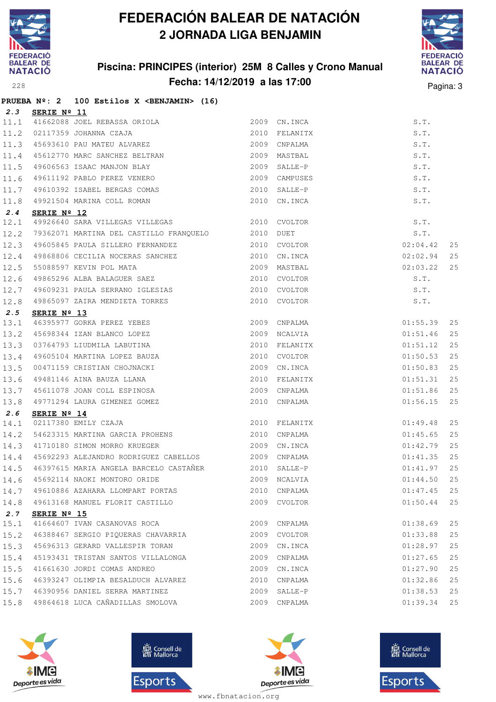

## **Piscina: PRINCIPES (interior) 25M 8 Calles y Crono Manual Fecha: 14/12/2019 a las 17:00**<sup>228</sup> Pagina: 3



|      |                      | PRUEBA Nº: 2 100 Estilos X <benjamin> (16)</benjamin>                                                                                                                                                                                             |      |               |                                              |    |
|------|----------------------|---------------------------------------------------------------------------------------------------------------------------------------------------------------------------------------------------------------------------------------------------|------|---------------|----------------------------------------------|----|
|      | 2.3 SERIE Nº 11      |                                                                                                                                                                                                                                                   |      |               |                                              |    |
|      |                      |                                                                                                                                                                                                                                                   |      |               | S.T.                                         |    |
|      |                      |                                                                                                                                                                                                                                                   |      | 2010 FELANITX | S.T.                                         |    |
|      |                      |                                                                                                                                                                                                                                                   |      |               | S.T.                                         |    |
|      |                      |                                                                                                                                                                                                                                                   |      |               | S.T.                                         |    |
|      |                      |                                                                                                                                                                                                                                                   |      |               | S.T.                                         |    |
|      |                      |                                                                                                                                                                                                                                                   |      | 2009 CAMPUSES | S.T.                                         |    |
|      |                      |                                                                                                                                                                                                                                                   |      |               | S.T.                                         |    |
|      |                      | <b>2.3 SERIE Nº 11</b><br>11.1 41662088 JOEL REBASSA ORIOLA<br>11.2 02117359 JOHANNA CZAJA<br>2010 FELANITX<br>11.3 45693610 PAU MATEU ALVAREZ<br>2009 CNPALMA<br>11.4 45612770 MARC SANCHEZ BELTRAN<br>11.5 49606563 ISAAC MANJON BLAY<br>11.6 4 |      |               | S.T.                                         |    |
| 2.4  | SERIE $N^{\circ}$ 12 |                                                                                                                                                                                                                                                   |      |               |                                              |    |
| 12.1 |                      | 49926640 SARA VILLEGAS VILLEGAS 2010 CVOLTOR                                                                                                                                                                                                      |      |               | $S.T.$<br>$S.T.$<br>$02:04.42$<br>$02:02.94$ |    |
| 12.2 |                      | 79362071 MARTINA DEL CASTILLO FRANQUELO 2010 DUET                                                                                                                                                                                                 |      |               |                                              |    |
|      |                      | 12.3 49605845 PAULA SILLERO FERNANDEZ 2010 CVOLTOR                                                                                                                                                                                                |      |               |                                              | 25 |
|      |                      | 12.4 49868806 CECILIA NOCERAS SANCHEZ 2010 CN.INCA<br>12.5 55088597 KEVIN POL MATA 2009 MASTBAL<br>12.6 49865296 ALBA BALAGUER SAEZ 2010 CVOLTOR                                                                                                  |      |               |                                              | 25 |
|      |                      |                                                                                                                                                                                                                                                   |      |               | 02:03.22                                     | 25 |
|      |                      |                                                                                                                                                                                                                                                   |      |               | S.T.                                         |    |
| 12.7 |                      | 49609231 PAULA SERRANO IGLESIAS 2010 CVOLTOR                                                                                                                                                                                                      |      |               | S.T.                                         |    |
|      |                      | 12.8 49865097 ZAIRA MENDIETA TORRES                                                                                                                                                                                                               |      | 2010 CVOLTOR  | S.T.                                         |    |
| 2.5  | SERIE Nº 13          |                                                                                                                                                                                                                                                   |      |               |                                              |    |
|      |                      | 2.5 SERIE Nº 13<br>13.1 46395977 GORKA PEREZ YEBES<br>13.2 45698344 IZAN BLANCO LOPEZ<br>13.3 03764793 LIUDMILA LABUTINA<br>13.4 49605104 MARTINA LOPEZ BAUZA<br>13.5 00471159 CRISTIAN CHOJNACKI<br>13.6 49481146 AINA BAUZA LLANA<br>13.7       |      | 2009 CNPALMA  | 01:55.39                                     | 25 |
|      |                      |                                                                                                                                                                                                                                                   |      | 2009 NCALVIA  | 01:51.46                                     | 25 |
|      |                      |                                                                                                                                                                                                                                                   |      | 2010 FELANITX | 01:51.12                                     | 25 |
|      |                      |                                                                                                                                                                                                                                                   |      | 2010 CVOLTOR  | 01:50.53                                     | 25 |
|      |                      |                                                                                                                                                                                                                                                   |      | 2009 CN.INCA  | 01:50.83                                     | 25 |
|      |                      |                                                                                                                                                                                                                                                   |      | 2010 FELANITX | 01:51.31                                     | 25 |
|      |                      |                                                                                                                                                                                                                                                   |      | 2009 CNPALMA  | 01:51.86                                     | 25 |
|      |                      |                                                                                                                                                                                                                                                   |      | 2010 CNPALMA  | 01:56.15                                     | 25 |
| 2.6  | SERIE Nº 14          | 2010 FELANITX<br>A PROHENS 2010 CNPALMA<br>------- 2009 CN.INCA                                                                                                                                                                                   |      |               |                                              |    |
| 14.1 |                      | 02117380 EMILY CZAJA                                                                                                                                                                                                                              |      |               | 01:49.48                                     | 25 |
| 14.2 |                      | 54623315 MARTINA GARCIA PROHENS 2010 CNPALMA                                                                                                                                                                                                      |      |               | 01:45.65                                     | 25 |
|      |                      | 14.3 41710180 SIMON MORRO KRUEGER 2009 CN.INCA                                                                                                                                                                                                    |      |               | 01:42.79                                     | 25 |
|      |                      | 14.4 45692293 ALEJANDRO RODRIGUEZ CABELLOS 2009 CNPALMA                                                                                                                                                                                           |      |               | 01:41.35                                     | 25 |
| 14.5 |                      | 16397615 MARIA ANGELA BARCELO CASTAÑER 2010 SALLE-P                                                                                                                                                                                               |      |               | 01:41.97                                     | 25 |
| 14.6 |                      | 45692114 NAOKI MONTORO ORIDE                                                                                                                                                                                                                      |      | 2009 NCALVIA  | 01:44.50                                     | 25 |
| 14.7 |                      | 49610886 AZAHARA LLOMPART PORTAS                                                                                                                                                                                                                  | 2010 | CNPALMA       | 01:47.45                                     | 25 |
| 14.8 |                      | 49613168 MANUEL FLORIT CASTILLO                                                                                                                                                                                                                   |      | 2009 CVOLTOR  | 01:50.44                                     | 25 |
| 2.7  | SERIE Nº 15          |                                                                                                                                                                                                                                                   |      |               |                                              |    |
| 15.1 |                      | 41664607 IVAN CASANOVAS ROCA                                                                                                                                                                                                                      | 2009 | CNPALMA       | 01:38.69                                     | 25 |
| 15.2 |                      | 46388467 SERGIO PIQUERAS CHAVARRIA                                                                                                                                                                                                                | 2009 | CVOLTOR       | 01:33.88                                     | 25 |
| 15.3 |                      | 45696313 GERARD VALLESPIR TORAN                                                                                                                                                                                                                   | 2009 | CN.INCA       | 01:28.97                                     | 25 |
| 15.4 |                      | 45193431 TRISTAN SANTOS VILLALONGA                                                                                                                                                                                                                | 2009 | CNPALMA       | 01:27.65                                     | 25 |
| 15.5 |                      | 41661630 JORDI COMAS ANDREO                                                                                                                                                                                                                       | 2009 | CN.INCA       | 01:27.90                                     | 25 |
| 15.6 |                      | 46393247 OLIMPIA BESALDUCH ALVAREZ                                                                                                                                                                                                                | 2010 | CNPALMA       | 01:32.86                                     | 25 |
| 15.7 |                      | 46390956 DANIEL SERRA MARTINEZ                                                                                                                                                                                                                    |      | 2009 SALLE-P  | 01:38.53                                     | 25 |
| 15.8 |                      | 49864618 LUCA CAÑADILLAS SMOLOVA                                                                                                                                                                                                                  |      | 2009 CNPALMA  | 01:39.34                                     | 25 |







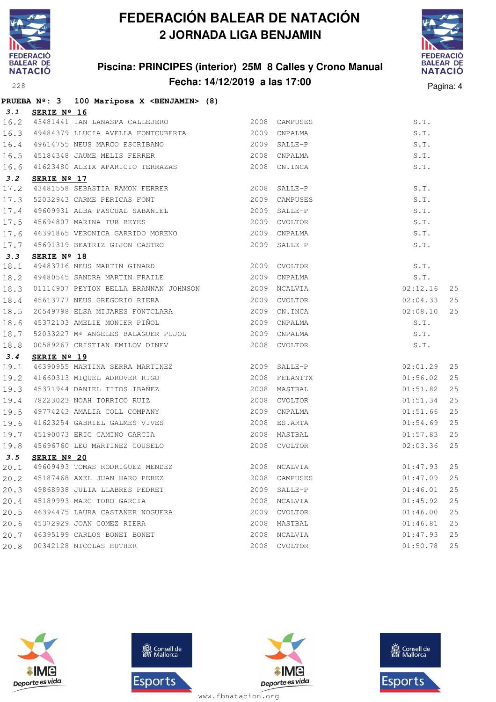

## **Piscina: PRINCIPES (interior) 25M 8 Calles y Crono Manual Fecha: 14/12/2019 a las 17:00**<sup>228</sup> Pagina: 4



|      |                 | PRUEBA Nº: 3 100 Mariposa X < BENJAMIN> (8)                                                                                                                                                                                          |      |               |                                |    |
|------|-----------------|--------------------------------------------------------------------------------------------------------------------------------------------------------------------------------------------------------------------------------------|------|---------------|--------------------------------|----|
|      | 3.1 SERIE Nº 16 |                                                                                                                                                                                                                                      |      |               |                                |    |
|      |                 | 16.2 43481441 IAN LANASPA CALLEJERO 2008 CAMPUSES                                                                                                                                                                                    |      |               | S.T.                           |    |
| 16.3 |                 | 49484379 LLUCIA AVELLA FONTCUBERTA (2009 CNPALMA                                                                                                                                                                                     |      |               | S.T.                           |    |
| 16.4 |                 | 49614755 NEUS MARCO ESCRIBANO (2009 SALLE-P                                                                                                                                                                                          |      |               | S.T.                           |    |
| 16.5 |                 | 45184348 JAUME MELIS FERRER 2008 CNPALMA                                                                                                                                                                                             |      |               | S.T.                           |    |
| 16.6 |                 | 41623480 ALEIX APARICIO TERRAZAS 2008 CN.INCA                                                                                                                                                                                        |      |               | S.T.                           |    |
| 3.2  | SERIE Nº 17     |                                                                                                                                                                                                                                      |      |               |                                |    |
| 17.2 |                 | 43481558 SEBASTIA RAMON FERRER 2008 SALLE-P                                                                                                                                                                                          |      |               | S.T.                           |    |
| 17.3 |                 | 52032943 CARME PERICAS FONT 2009                                                                                                                                                                                                     |      | CAMPUSES      | S.T.                           |    |
| 17.4 |                 | 49609931 ALBA PASCUAL SABANIEL 2009                                                                                                                                                                                                  |      | SALLE-P       | S.T.                           |    |
| 17.5 |                 | 45694807 MARINA TUR REYES<br>46391865 VERONICA GARRIDO MORENO 1989 2009 COLTOR                                                                                                                                                       |      |               | S.T.                           |    |
| 17.6 |                 |                                                                                                                                                                                                                                      |      |               | S.T.                           |    |
| 17.7 |                 | 45691319 BEATRIZ GIJON CASTRO 2009 SALLE-P                                                                                                                                                                                           |      |               | S.T.                           |    |
| 3.3  | SERIE Nº 18     | SERIE Nº 18<br>49483716 NEUS MARTIN GINARD (2009 CVOLTOR                                                                                                                                                                             |      |               |                                |    |
| 18.1 |                 |                                                                                                                                                                                                                                      |      |               |                                |    |
| 18.2 |                 | 49480545 SANDRA MARTIN FRAILE                                                                                                                                                                                                        |      | 2009 CNPALMA  |                                |    |
| 18.3 |                 | 01114907 PEYTON BELLA BRANNAN JOHNSON 2009 NCALVIA                                                                                                                                                                                   |      |               | $S.T.$<br>$S.T.$<br>$02:12.16$ | 25 |
| 18.4 |                 | 45613777 NEUS GREGORIO RIERA 2009 CVOLTOR                                                                                                                                                                                            |      |               | 02:04.33                       | 25 |
| 18.5 |                 | 20549798 ELSA MIJARES FONTCLARA 2009                                                                                                                                                                                                 |      | CN.INCA       | 02:08.10                       | 25 |
| 18.6 |                 | 15372103 AMELIE MONIER PIÑOL 1999 - 1999 - 1999 - 1999<br>1999 - 1999 - 2009 - 2009 - 1999 - 1999 - 1999 - 1999 - 1999 - 1999 - 1999 - 1999 - 1999 - 1999 - 1999 - 1999<br>1999 - 1999 - 1999 - 1999 - 1999 - 1999 - 1999 - 1999 - 1 |      |               | S.T.                           |    |
| 18.7 |                 |                                                                                                                                                                                                                                      |      |               | S.T.                           |    |
| 18.8 |                 | 00589267 CRISTIAN EMILOV DINEV                                                                                                                                                                                                       |      | 2008 CVOLTOR  | S.T.                           |    |
| 3.4  | SERIE Nº 19     |                                                                                                                                                                                                                                      |      |               |                                |    |
| 19.1 |                 | 46390955 MARTINA SERRA MARTINEZ 2009 SALLE-P                                                                                                                                                                                         |      |               | 02:01.29                       | 25 |
| 19.2 |                 | 46390955 MARIINA SERRA MARIINE2<br>41660313 MIQUEL ADROVER RIGO<br>45371944 DANIEL TITOS IBAÑEZ<br>78223023 NOAH TORRICO RUIZ<br>49774243 AMALIA COLL COMPANY                                                                        |      | 2008 FELANITX | 01:56.02                       | 25 |
| 19.3 |                 |                                                                                                                                                                                                                                      | 2008 | MASTBAL       | 01:51.82                       | 25 |
| 19.4 |                 |                                                                                                                                                                                                                                      | 2008 | CVOLTOR       | 01:51.34                       | 25 |
| 19.5 |                 |                                                                                                                                                                                                                                      |      | 2009 CNPALMA  | 01:51.66                       | 25 |
| 19.6 |                 | 2009 CM ADAM 2009 CM ANT                                                                                                                                                                                                             |      |               | 01:54.69                       | 25 |
| 19.7 |                 |                                                                                                                                                                                                                                      |      |               | 01:57.83                       | 25 |
| 19.8 |                 |                                                                                                                                                                                                                                      |      |               | 02:03.36                       | 25 |
| 3.5  | SERIE Nº 20     |                                                                                                                                                                                                                                      |      |               |                                |    |
| 20.1 |                 | 49609493 TOMAS RODRIGUEZ MENDEZ 2008 NCALVIA                                                                                                                                                                                         |      |               | 01:47.93                       | 25 |
| 20.2 |                 | 45187468 AXEL JUAN HARO PEREZ                                                                                                                                                                                                        | 2008 | CAMPUSES      | 01:47.09                       | 25 |
| 20.3 |                 | 49868938 JULIA LLABRES PEDRET                                                                                                                                                                                                        | 2009 | SALLE-P       | 01:46.01                       | 25 |
| 20.4 |                 | 45189993 MARC TORO GARCIA                                                                                                                                                                                                            | 2008 | NCALVIA       | 01:45.92                       | 25 |
| 20.5 |                 | 46394475 LAURA CASTAÑER NOGUERA                                                                                                                                                                                                      | 2009 | CVOLTOR       | 01:46.00                       | 25 |
| 20.6 |                 | 45372929 JOAN GOMEZ RIERA                                                                                                                                                                                                            | 2008 | MASTBAL       | 01:46.81                       | 25 |
| 20.7 |                 | 46395199 CARLOS BONET BONET                                                                                                                                                                                                          | 2008 | NCALVIA       | 01:47.93                       | 25 |
| 20.8 |                 | 00342128 NICOLAS HUTHER                                                                                                                                                                                                              | 2008 | CVOLTOR       | 01:50.78                       | 25 |







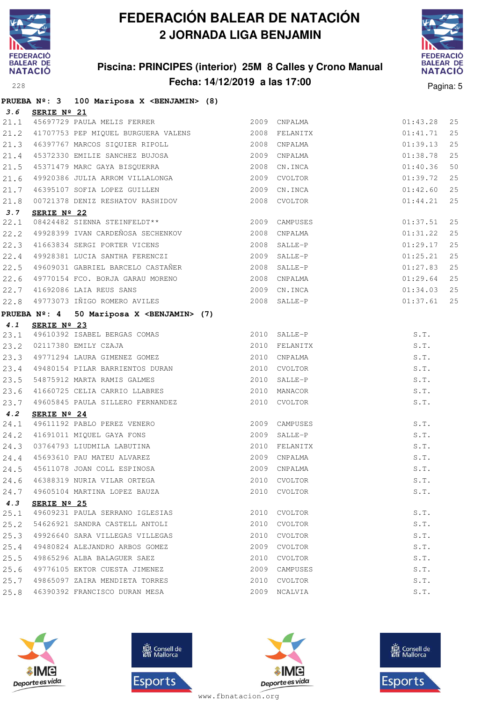

**PRUEBA Nº: 3 100 Mariposa X <BENJAMIN> (8)**

## **FEDERACIÓN BALEAR DE NATACIÓN 2 JORNADA LIGA BENJAMIN**

## **Piscina: PRINCIPES (interior) 25M 8 Calles y Crono Manual Fecha: 14/12/2019 a las 17:00**<sup>228</sup> Pagina: 5



| 3.6         | SERIE Nº 21                                                                                                                                                                                                                                                                                                                                                                                             |      |               |              |    |
|-------------|---------------------------------------------------------------------------------------------------------------------------------------------------------------------------------------------------------------------------------------------------------------------------------------------------------------------------------------------------------------------------------------------------------|------|---------------|--------------|----|
|             | 3.0 SERIE Nº 21<br>21.1 45697729 PAULA MELIS FERRER                                                                                                                                                                                                                                                                                                                                                     |      |               | 01:43.28     | 25 |
| 21.2        |                                                                                                                                                                                                                                                                                                                                                                                                         |      |               | 01:41.71     | 25 |
|             | 21.3 46397767 MARCOS SIQUIER RIPOLL 2008 CNPALMA                                                                                                                                                                                                                                                                                                                                                        |      |               | 01:39.13     | 25 |
|             |                                                                                                                                                                                                                                                                                                                                                                                                         |      |               | 01:38.78     | 25 |
|             | 3ERIE Nº 21<br>45697729 PAULA MELIS FERRER<br>41707753 PEP MIQUEL BURGUERA VALENS<br>46397767 MARCOS SIQUIER RIPOLL<br>45372330 EMILIE SANCHEZ BUJOSA<br>45371479 MARC GAYA BISQUERRA<br>49920386 JULIA ARROM VILLALONGA<br>49920386 JULIA A<br>21.4 45372330 EMILIE SANCHEZ BUJOSA 2009 CNPALMA<br>21.5 45371479 MARC GAYA BISQUERRA 2008 CN.INCA<br>21.6 49920386 JULIA ARROM VILLALONGA 2009 CVOLTOR |      |               | 01:40.36     | 50 |
|             |                                                                                                                                                                                                                                                                                                                                                                                                         |      |               | 01:39.72     | 25 |
| 21.7        | 46395107 SOFIA LOPEZ GUILLEN 2009                                                                                                                                                                                                                                                                                                                                                                       |      | CN.INCA       | 01:42.60     | 25 |
|             | 21.8 00721378 DENIZ RESHATOV RASHIDOV                                                                                                                                                                                                                                                                                                                                                                   |      | 2008 CVOLTOR  | 01:44.21     | 25 |
| 3.7         | SERIE $N^{\circ}$ 22                                                                                                                                                                                                                                                                                                                                                                                    |      |               |              |    |
| 22.1        |                                                                                                                                                                                                                                                                                                                                                                                                         |      |               | 01:37.51     | 25 |
|             | 22.2 49928399 IVAN CARDEÑOSA SECHENKOV 2008 CNPALMA                                                                                                                                                                                                                                                                                                                                                     |      |               | 01:31.22     | 25 |
|             | 22.3 41663834 SERGI PORTER VICENS 2008 SALLE-P<br>22.4 49928381 LUCIA SANTHA FERENCZI 2009 SALLE-P                                                                                                                                                                                                                                                                                                      |      |               | 01:29.17     | 25 |
|             |                                                                                                                                                                                                                                                                                                                                                                                                         |      |               | 01:25.21     | 25 |
|             | 22.5 49609031 GABRIEL BARCELO CASTAÑER 2008 SALLE-P                                                                                                                                                                                                                                                                                                                                                     |      |               | 01:27.83     | 25 |
|             | 22.6 49770154 FCO. BORJA GARAU MORENO 2008 CNPALMA                                                                                                                                                                                                                                                                                                                                                      |      |               | 01:29.64     | 25 |
|             | 22.7 41692086 LAIA REUS SANS 2009 CN.INCA<br>22.8 49773073 IÑIGO ROMERO AVILES 2008 SALLE-P                                                                                                                                                                                                                                                                                                             |      |               | 01:34.03     | 25 |
|             |                                                                                                                                                                                                                                                                                                                                                                                                         |      |               | 01:37.61     | 25 |
|             | PRUEBA Nº: 4 50 Mariposa X <benjamin> (7)</benjamin>                                                                                                                                                                                                                                                                                                                                                    |      |               |              |    |
| 4.1         | SERIE Nº 23                                                                                                                                                                                                                                                                                                                                                                                             |      |               |              |    |
|             | 23.1 49610392 ISABEL BERGAS COMAS<br>23.2 02117380 EMILY CZAJA<br>23.3 49771294 LAURA GIMENEZ GOMEZ                                                                                                                                                                                                                                                                                                     |      | 2010 SALLE-P  | S.T.         |    |
|             |                                                                                                                                                                                                                                                                                                                                                                                                         |      | 2010 FELANITX | S.T.         |    |
|             |                                                                                                                                                                                                                                                                                                                                                                                                         |      | 2010 CNPALMA  | S.T.         |    |
|             | 23.4 49480154 PILAR BARRIENTOS DURAN 2010 CVOLTOR                                                                                                                                                                                                                                                                                                                                                       |      |               | S.T.         |    |
|             | 23.5 54875912 MARTA RAMIS GALMES                                                                                                                                                                                                                                                                                                                                                                        |      | 2010 SALLE-P  | S.T.         |    |
|             | 23.6 41660725 CELIA CARRIO LLABRES                                                                                                                                                                                                                                                                                                                                                                      |      | 2010 MANACOR  | S.T.         |    |
|             | 23.7 49605845 PAULA SILLERO FERNANDEZ                                                                                                                                                                                                                                                                                                                                                                   |      | 2010 CVOLTOR  | S.T.         |    |
| 4.2         | SERIE Nº 24                                                                                                                                                                                                                                                                                                                                                                                             |      |               |              |    |
|             |                                                                                                                                                                                                                                                                                                                                                                                                         |      | 2009 CAMPUSES | S.T.         |    |
|             |                                                                                                                                                                                                                                                                                                                                                                                                         |      | 2009 SALLE-P  | S.T.         |    |
|             | 24.1 49611192 PABLO PEREZ VENERO<br>24.2 41691011 MIQUEL GAYA FONS<br>24.3 03764793 LIUDMILA LABUTINA<br>24.4 45693610 PAU MATEU ALVAREZ                                                                                                                                                                                                                                                                |      | 2010 FELANITX | S.T.         |    |
|             |                                                                                                                                                                                                                                                                                                                                                                                                         |      | 2009 CNPALMA  | S.T.         |    |
|             | 24.5 45611078 JOAN COLL ESPINOSA<br>24.6 46388319 NURIA VILAR ORTEGA 2010 CVOLTOR S.T.                                                                                                                                                                                                                                                                                                                  |      | 2009 CNPALMA  | S.T.         |    |
|             |                                                                                                                                                                                                                                                                                                                                                                                                         |      |               |              |    |
|             | 24.7 49605104 MARTINA LOPEZ BAUZA                                                                                                                                                                                                                                                                                                                                                                       |      | 2010 CVOLTOR  | S.T.         |    |
| 4.3<br>25.1 | SERIE $N^{\circ}$ 25<br>49609231 PAULA SERRANO IGLESIAS                                                                                                                                                                                                                                                                                                                                                 |      | 2010 CVOLTOR  | S.T.         |    |
| 25.2        | 54626921 SANDRA CASTELL ANTOLI                                                                                                                                                                                                                                                                                                                                                                          | 2010 | CVOLTOR       | S.T.         |    |
| 25.3        | 49926640 SARA VILLEGAS VILLEGAS                                                                                                                                                                                                                                                                                                                                                                         | 2010 | CVOLTOR       |              |    |
| 25.4        | 49480824 ALEJANDRO ARBOS GOMEZ                                                                                                                                                                                                                                                                                                                                                                          | 2009 | CVOLTOR       | S.T.<br>S.T. |    |
| 25.5        | 49865296 ALBA BALAGUER SAEZ                                                                                                                                                                                                                                                                                                                                                                             | 2010 | CVOLTOR       | S.T.         |    |
| 25.6        | 49776105 EKTOR CUESTA JIMENEZ                                                                                                                                                                                                                                                                                                                                                                           | 2009 | CAMPUSES      | S.T.         |    |
|             | 25.7 49865097 ZAIRA MENDIETA TORRES                                                                                                                                                                                                                                                                                                                                                                     |      | 2010 CVOLTOR  | S.T.         |    |
|             | 46390392 FRANCISCO DURAN MESA                                                                                                                                                                                                                                                                                                                                                                           |      |               |              |    |
| 25.8        |                                                                                                                                                                                                                                                                                                                                                                                                         |      | 2009 NCALVIA  | S.T.         |    |







**感** Consell de Esports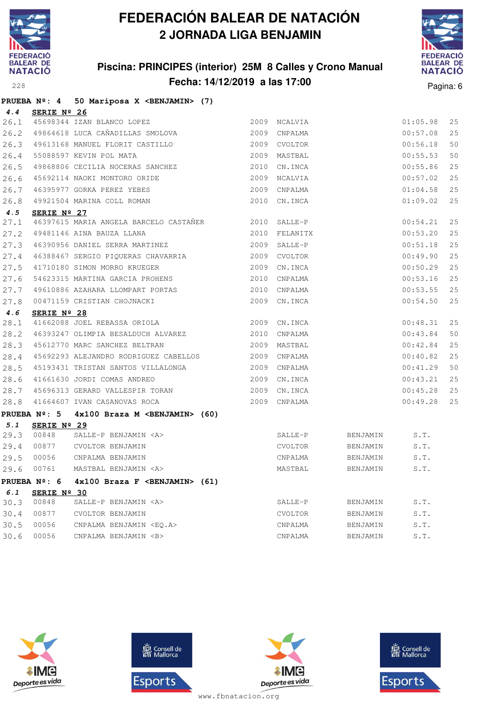

## **Piscina: PRINCIPES (interior) 25M 8 Calles y Crono Manual Fecha: 14/12/2019 a las 17:00**<sup>228</sup> Pagina: 6



|      |                        | PRUEBA Nº: 4 50 Mariposa X < BENJAMIN> (7)                                                                                                                                                       |      |              |               |          |    |
|------|------------------------|--------------------------------------------------------------------------------------------------------------------------------------------------------------------------------------------------|------|--------------|---------------|----------|----|
| 4.4  | SERIE Nº 26            |                                                                                                                                                                                                  |      |              |               |          |    |
| 26.1 |                        | 45698344 IZAN BLANCO LOPEZ                                                                                                                                                                       |      | 2009 NCALVIA |               | 01:05.98 | 25 |
|      |                        | 26.2 49864618 LUCA CAÑADILLAS SMOLOVA 2009 CNPALMA                                                                                                                                               |      |              |               | 00:57.08 | 25 |
|      |                        | 26.3 49613168 MANUEL FLORIT CASTILLO 2009 CVOLTOR                                                                                                                                                |      |              |               | 00:56.18 | 50 |
| 26.4 |                        |                                                                                                                                                                                                  |      |              |               | 00:55.53 | 50 |
| 26.5 |                        |                                                                                                                                                                                                  |      |              |               | 00:55.86 | 25 |
| 26.6 |                        | 45692114 NAOKI MONTORO ORIDE                                                                                                                                                                     | 2009 | NCALVIA      |               | 00:57.02 | 25 |
| 26.7 |                        |                                                                                                                                                                                                  |      | 2009 CNPALMA |               | 01:04.58 | 25 |
| 26.8 |                        | 46395977 GORKA PEREZ YEBES<br>49921504 MARINA COLL ROMAN                                                                                                                                         |      | 2010 CN.INCA |               | 01:09.02 | 25 |
| 4.5  | SERIE Nº 27            |                                                                                                                                                                                                  |      |              |               |          |    |
| 27.1 |                        | 46397615 MARIA ANGELA BARCELO CASTAÑER 2010 SALLE-P                                                                                                                                              |      |              |               | 00:54.21 | 25 |
| 27.2 |                        | 49481146 AINA BAUZA LLANA                                                                                                                                                                        |      |              | 2010 FELANITX | 00:53.20 | 25 |
|      |                        | 27.3 46390956 DANIEL SERRA MARTINEZ 2009 SALLE-P                                                                                                                                                 |      |              |               | 00:51.18 | 25 |
|      |                        | 27.4 46388467 SERGIO PIQUERAS CHAVARRIA 2009 CVOLTOR                                                                                                                                             |      |              |               | 00:49.90 | 25 |
| 27.5 |                        | 41710180 SIMON MORRO KRUEGER 2009 CN.INCA                                                                                                                                                        |      |              |               | 00:50.29 | 25 |
| 27.6 |                        | 54623315 MARTINA GARCIA PROHENS 2010                                                                                                                                                             |      | CNPALMA      |               | 00:53.16 | 25 |
| 27.7 |                        |                                                                                                                                                                                                  |      |              |               | 00:53.55 | 25 |
| 27.8 |                        |                                                                                                                                                                                                  |      |              |               | 00:54.50 | 25 |
| 4.6  | SERIE Nº 28            |                                                                                                                                                                                                  |      |              |               |          |    |
| 28.1 |                        | 41662088 JOEL REBASSA ORIOLA 2009 CN.INCA                                                                                                                                                        |      |              |               | 00:48.31 | 25 |
| 28.2 |                        | 46393247 OLIMPIA BESALDUCH ALVAREZ 2010                                                                                                                                                          |      | CNPALMA      |               | 00:43.84 | 50 |
| 28.3 |                        | 45612770 MARC SANCHEZ BELTRAN                                                                                                                                                                    |      | 2009 MASTBAL |               | 00:42.84 | 25 |
| 28.4 |                        | 45692293 ALEJANDRO RODRIGUEZ CABELLOS 2009 CNPALMA                                                                                                                                               |      |              |               | 00:40.82 | 25 |
| 28.5 |                        |                                                                                                                                                                                                  |      |              |               | 00:41.29 | 50 |
| 28.6 |                        | 2009<br>41661630 JORDI COMAS ANDREO                                                                                                                                                              |      | CN.INCA      |               | 00:43.21 | 25 |
| 28.7 |                        | 45696313 GERARD VALLESPIR TORAN                                                                                                                                                                  |      | 2009 CN.INCA |               | 00:45.28 | 25 |
| 28.8 |                        | 41664607 IVAN CASANOVAS ROCA 2009 CNPALMA                                                                                                                                                        |      |              |               | 00:49.28 | 25 |
|      |                        | PRUEBA Nº: 5 4x100 Braza M <benjamin> (60)</benjamin>                                                                                                                                            |      |              |               |          |    |
| 5.1  | SERIE Nº 29            |                                                                                                                                                                                                  |      |              |               |          |    |
|      |                        |                                                                                                                                                                                                  |      |              |               |          |    |
|      |                        |                                                                                                                                                                                                  |      |              |               |          |    |
|      |                        | 29.3 00848 SALLE-P BENJAMIN <a> 29.4 00877 CVOLTOR BENJAMIN CNPALMA CVOLTOR BENJAMIN S.T.<br/> 29.5 00056 CNPALMA BENJAMIN <a> 29.6 00761 MASTBAL BENJAMIN <a> MASTBAL BENJAMIN S.T.</a></a></a> |      |              |               |          |    |
|      |                        |                                                                                                                                                                                                  |      |              |               |          |    |
|      | PRUEBA $N^{\circ}$ : 6 | $4x100$ Braza F <benjamin> (61)</benjamin>                                                                                                                                                       |      |              |               |          |    |
| 6.1  | SERIE Nº 30            |                                                                                                                                                                                                  |      |              |               |          |    |
| 30.3 | 00848                  | SALLE-P BENJAMIN <a></a>                                                                                                                                                                         |      | SALLE-P      | BENJAMIN      | S.T.     |    |
| 30.4 | 00877                  | CVOLTOR BENJAMIN                                                                                                                                                                                 |      | CVOLTOR      | BENJAMIN      | S.T.     |    |
| 30.5 | 00056                  | CNPALMA BENJAMIN <eq.a></eq.a>                                                                                                                                                                   |      | CNPALMA      | BENJAMIN      | S.T.     |    |
| 30.6 | 00056                  | CNPALMA BENJAMIN <b></b>                                                                                                                                                                         |      | CNPALMA      | BENJAMIN      | S.T.     |    |